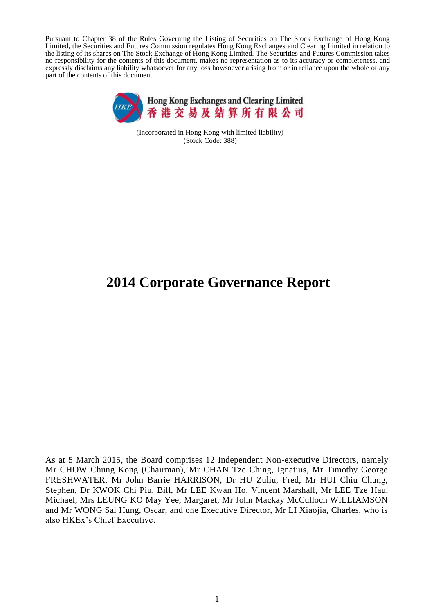Pursuant to Chapter 38 of the Rules Governing the Listing of Securities on The Stock Exchange of Hong Kong Limited, the Securities and Futures Commission regulates Hong Kong Exchanges and Clearing Limited in relation to the listing of its shares on The Stock Exchange of Hong Kong Limited. The Securities and Futures Commission takes no responsibility for the contents of this document, makes no representation as to its accuracy or completeness, and expressly disclaims any liability whatsoever for any loss howsoever arising from or in reliance upon the whole or any part of the contents of this document.



(Incorporated in Hong Kong with limited liability) (Stock Code: 388)

# **2014 Corporate Governance Report**

As at 5 March 2015, the Board comprises 12 Independent Non-executive Directors, namely Mr CHOW Chung Kong (Chairman), Mr CHAN Tze Ching, Ignatius, Mr Timothy George FRESHWATER, Mr John Barrie HARRISON, Dr HU Zuliu, Fred, Mr HUI Chiu Chung, Stephen, Dr KWOK Chi Piu, Bill, Mr LEE Kwan Ho, Vincent Marshall, Mr LEE Tze Hau, Michael, Mrs LEUNG KO May Yee, Margaret, Mr John Mackay McCulloch WILLIAMSON and Mr WONG Sai Hung, Oscar, and one Executive Director, Mr LI Xiaojia, Charles, who is also HKEx's Chief Executive.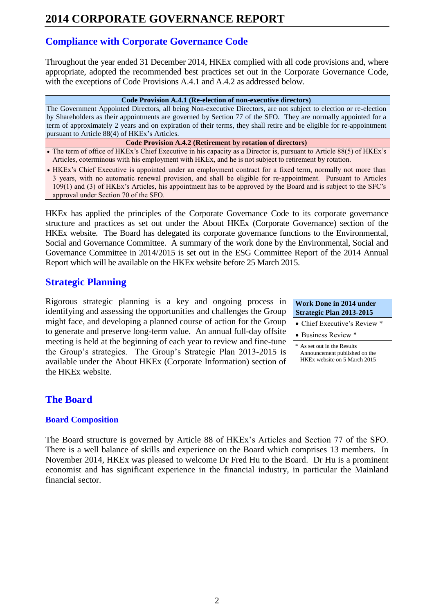# **Compliance with Corporate Governance Code**

Throughout the year ended 31 December 2014, HKEx complied with all code provisions and, where appropriate, adopted the recommended best practices set out in the Corporate Governance Code, with the exceptions of Code Provisions A.4.1 and A.4.2 as addressed below.

#### **Code Provision A.4.1 (Re-election of non-executive directors)**

The Government Appointed Directors, all being Non-executive Directors, are not subject to election or re-election by Shareholders as their appointments are governed by Section 77 of the SFO. They are normally appointed for a term of approximately 2 years and on expiration of their terms, they shall retire and be eligible for re-appointment pursuant to Article 88(4) of HKEx's Articles.

- **Code Provision A.4.2 (Retirement by rotation of directors)**
- The term of office of HKEx's Chief Executive in his capacity as a Director is, pursuant to Article 88(5) of HKEx's Articles, coterminous with his employment with HKEx, and he is not subject to retirement by rotation.
- HKEx's Chief Executive is appointed under an employment contract for a fixed term, normally not more than 3 years, with no automatic renewal provision, and shall be eligible for re-appointment. Pursuant to Articles 109(1) and (3) of HKEx's Articles, his appointment has to be approved by the Board and is subject to the SFC's approval under Section 70 of the SFO.

HKEx has applied the principles of the Corporate Governance Code to its corporate governance structure and practices as set out under the About HKEx (Corporate Governance) section of the HKEx website. The Board has delegated its corporate governance functions to the Environmental, Social and Governance Committee. A summary of the work done by the Environmental, Social and Governance Committee in 2014/2015 is set out in the ESG Committee Report of the 2014 Annual Report which will be available on the HKEx website before 25 March 2015.

## **Strategic Planning**

Rigorous strategic planning is a key and ongoing process in identifying and assessing the opportunities and challenges the Group might face, and developing a planned course of action for the Group to generate and preserve long-term value. An annual full-day offsite meeting is held at the beginning of each year to review and fine-tune the Group's strategies. The Group's Strategic Plan 2013-2015 is available under the About HKEx (Corporate Information) section of the HKEx website.

**Work Done in 2014 under Strategic Plan 2013-2015**

- Chief Executive's Review \*
- Business Review \*

\* As set out in the Results Announcement published on the HKEx website on 5 March 2015

## **The Board**

### **Board Composition**

The Board structure is governed by Article 88 of HKEx's Articles and Section 77 of the SFO. There is a well balance of skills and experience on the Board which comprises 13 members. In November 2014, HKEx was pleased to welcome Dr Fred Hu to the Board. Dr Hu is a prominent economist and has significant experience in the financial industry, in particular the Mainland financial sector.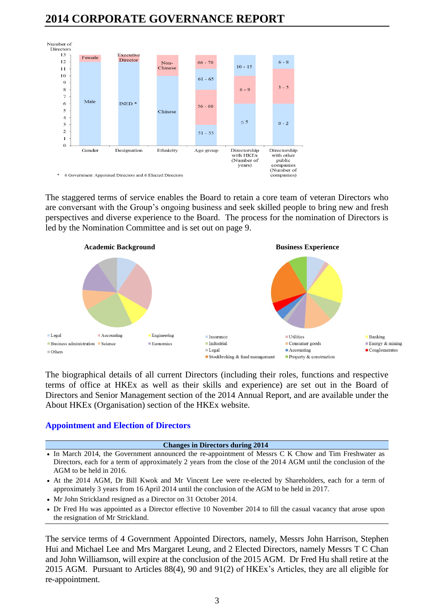

The staggered terms of service enables the Board to retain a core team of veteran Directors who are conversant with the Group's ongoing business and seek skilled people to bring new and fresh perspectives and diverse experience to the Board. The process for the nomination of Directors is led by the Nomination Committee and is set out on page 9.



The biographical details of all current Directors (including their roles, functions and respective terms of office at HKEx as well as their skills and experience) are set out in the Board of Directors and Senior Management section of the 2014 Annual Report, and are available under the About HKEx (Organisation) section of the HKEx website.

### **Appointment and Election of Directors**

#### **Changes in Directors during 2014**

- In March 2014, the Government announced the re-appointment of Messrs C K Chow and Tim Freshwater as Directors, each for a term of approximately 2 years from the close of the 2014 AGM until the conclusion of the AGM to be held in 2016.
- At the 2014 AGM, Dr Bill Kwok and Mr Vincent Lee were re-elected by Shareholders, each for a term of approximately 3 years from 16 April 2014 until the conclusion of the AGM to be held in 2017.
- Mr John Strickland resigned as a Director on 31 October 2014.
- Dr Fred Hu was appointed as a Director effective 10 November 2014 to fill the casual vacancy that arose upon the resignation of Mr Strickland.

The service terms of 4 Government Appointed Directors, namely, Messrs John Harrison, Stephen Hui and Michael Lee and Mrs Margaret Leung, and 2 Elected Directors, namely Messrs T C Chan and John Williamson, will expire at the conclusion of the 2015 AGM. Dr Fred Hu shall retire at the 2015 AGM. Pursuant to Articles 88(4), 90 and 91(2) of HKEx's Articles, they are all eligible for re-appointment.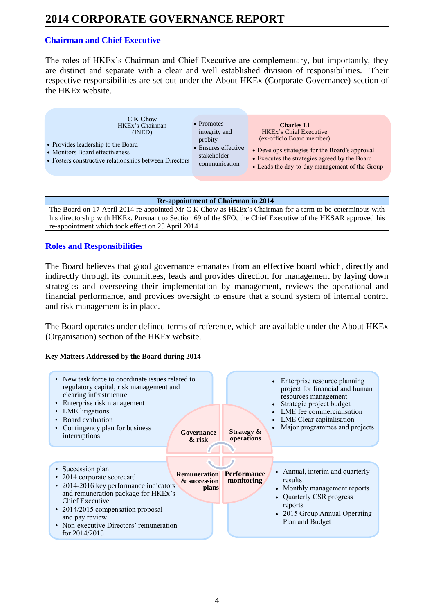## **Chairman and Chief Executive**

The roles of HKEx's Chairman and Chief Executive are complementary, but importantly, they are distinct and separate with a clear and well established division of responsibilities. Their respective responsibilities are set out under the About HKEx (Corporate Governance) section of the HKEx website.

| C K Chow                                               | $\bullet$ Promotes  | <b>Charles Li</b>                              |
|--------------------------------------------------------|---------------------|------------------------------------------------|
| HKEx's Chairman                                        | integrity and       | <b>HKEx's Chief Executive</b>                  |
| (INED)                                                 | probity             | (ex-officio Board member)                      |
| • Provides leadership to the Board                     | • Ensures effective | • Develops strategies for the Board's approval |
| • Monitors Board effectiveness                         | stakeholder         | • Executes the strategies agreed by the Board  |
| • Fosters constructive relationships between Directors | communication       | • Leads the day-to-day management of the Group |
|                                                        |                     |                                                |

#### **Re-appointment of Chairman in 2014**

The Board on 17 April 2014 re-appointed Mr C K Chow as HKEx's Chairman for a term to be coterminous with his directorship with HKEx. Pursuant to Section 69 of the SFO, the Chief Executive of the HKSAR approved his re-appointment which took effect on 25 April 2014.

## **Roles and Responsibilities**

The Board believes that good governance emanates from an effective board which, directly and indirectly through its committees, leads and provides direction for management by laying down strategies and overseeing their implementation by management, reviews the operational and financial performance, and provides oversight to ensure that a sound system of internal control and risk management is in place.

The Board operates under defined terms of reference, which are available under the About HKEx (Organisation) section of the HKEx website.

### **Key Matters Addressed by the Board during 2014**

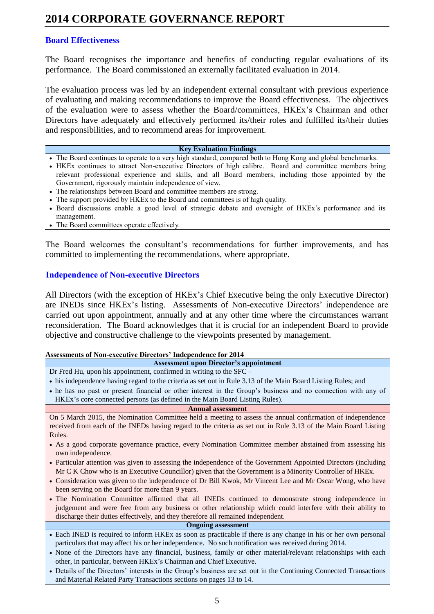### **Board Effectiveness**

The Board recognises the importance and benefits of conducting regular evaluations of its performance. The Board commissioned an externally facilitated evaluation in 2014.

The evaluation process was led by an independent external consultant with previous experience of evaluating and making recommendations to improve the Board effectiveness. The objectives of the evaluation were to assess whether the Board/committees, HKEx's Chairman and other Directors have adequately and effectively performed its/their roles and fulfilled its/their duties and responsibilities, and to recommend areas for improvement.

#### **Key Evaluation Findings**

- The Board continues to operate to a very high standard, compared both to Hong Kong and global benchmarks.
- HKEx continues to attract Non-executive Directors of high calibre. Board and committee members bring relevant professional experience and skills, and all Board members, including those appointed by the Government, rigorously maintain independence of view.
- The relationships between Board and committee members are strong.
- The support provided by HKEx to the Board and committees is of high quality.
- Board discussions enable a good level of strategic debate and oversight of HKEx's performance and its management.
- The Board committees operate effectively.

The Board welcomes the consultant's recommendations for further improvements, and has committed to implementing the recommendations, where appropriate.

### **Independence of Non-executive Directors**

All Directors (with the exception of HKEx's Chief Executive being the only Executive Director) are INEDs since HKEx's listing. Assessments of Non-executive Directors' independence are carried out upon appointment, annually and at any other time where the circumstances warrant reconsideration. The Board acknowledges that it is crucial for an independent Board to provide objective and constructive challenge to the viewpoints presented by management.

#### **Assessments of Non-executive Directors' Independence for 2014**

**Assessment upon Director's appointment** Dr Fred Hu, upon his appointment, confirmed in writing to the SFC –

- his independence having regard to the criteria as set out in Rule 3.13 of the Main Board Listing Rules; and
- he has no past or present financial or other interest in the Group's business and no connection with any of HKEx's core connected persons (as defined in the Main Board Listing Rules).

#### **Annual assessment**

On 5 March 2015, the Nomination Committee held a meeting to assess the annual confirmation of independence received from each of the INEDs having regard to the criteria as set out in Rule 3.13 of the Main Board Listing Rules.

- As a good corporate governance practice, every Nomination Committee member abstained from assessing his own independence.
- Particular attention was given to assessing the independence of the Government Appointed Directors (including Mr C K Chow who is an Executive Councillor) given that the Government is a Minority Controller of HKEx.
- Consideration was given to the independence of Dr Bill Kwok, Mr Vincent Lee and Mr Oscar Wong, who have been serving on the Board for more than 9 years.
- The Nomination Committee affirmed that all INEDs continued to demonstrate strong independence in judgement and were free from any business or other relationship which could interfere with their ability to discharge their duties effectively, and they therefore all remained independent.

#### **Ongoing assessment**

- Each INED is required to inform HKEx as soon as practicable if there is any change in his or her own personal particulars that may affect his or her independence. No such notification was received during 2014.
- None of the Directors have any financial, business, family or other material/relevant relationships with each other, in particular, between HKEx's Chairman and Chief Executive.
- Details of the Directors' interests in the Group's business are set out in the Continuing Connected Transactions and Material Related Party Transactions sections on pages 13 to 14.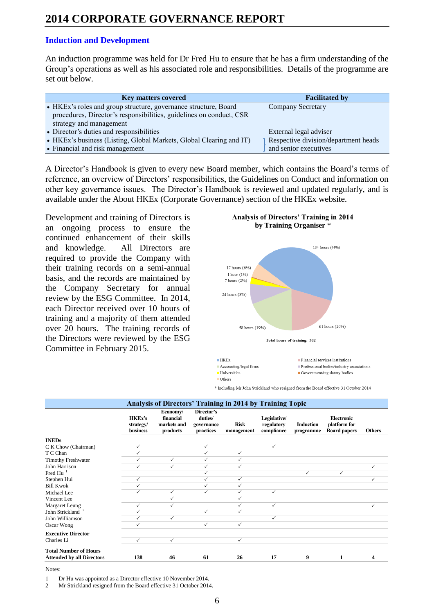### **Induction and Development**

An induction programme was held for Dr Fred Hu to ensure that he has a firm understanding of the Group's operations as well as his associated role and responsibilities. Details of the programme are set out below.

| <b>Key matters covered</b>                                          | <b>Facilitated by</b>                |
|---------------------------------------------------------------------|--------------------------------------|
| • HKEx's roles and group structure, governance structure, Board     | <b>Company Secretary</b>             |
| procedures, Director's responsibilities, guidelines on conduct, CSR |                                      |
| strategy and management                                             |                                      |
| • Director's duties and responsibilities                            | External legal adviser               |
| • HKEx's business (Listing, Global Markets, Global Clearing and IT) | Respective division/department heads |
| • Financial and risk management                                     | and senior executives                |

A Director's Handbook is given to every new Board member, which contains the Board's terms of reference, an overview of Directors' responsibilities, the Guidelines on Conduct and information on other key governance issues. The Director's Handbook is reviewed and updated regularly, and is available under the About HKEx (Corporate Governance) section of the HKEx website.

Development and training of Directors is an ongoing process to ensure the continued enhancement of their skills and knowledge. All Directors are required to provide the Company with their training records on a semi-annual basis, and the records are maintained by the Company Secretary for annual review by the ESG Committee. In 2014, each Director received over 10 hours of training and a majority of them attended over 20 hours. The training records of the Directors were reviewed by the ESG Committee in February 2015.

#### **Analysis of Directors' Training in 2014 by Training Organiser** \*





Professional bodies/industry associations Government/regulatory bodies

**Others** 

\* Including Mr John Strickland who resigned from the Board effective 31 October 2014

|                                                                  | Analysis of Directors' Training in 2014 by Training Topic |                                                  |                                                  |                           |                                          |                               |                                                          |               |
|------------------------------------------------------------------|-----------------------------------------------------------|--------------------------------------------------|--------------------------------------------------|---------------------------|------------------------------------------|-------------------------------|----------------------------------------------------------|---------------|
|                                                                  | <b>HKEx's</b><br>strategy/<br>business                    | Economy/<br>financial<br>markets and<br>products | Director's<br>duties/<br>governance<br>practices | <b>Risk</b><br>management | Legislative/<br>regulatory<br>compliance | <b>Induction</b><br>programme | <b>Electronic</b><br>platform for<br><b>Board papers</b> | <b>Others</b> |
| <b>INEDs</b>                                                     |                                                           |                                                  |                                                  |                           |                                          |                               |                                                          |               |
| C K Chow (Chairman)                                              | ✓                                                         |                                                  | $\checkmark$                                     |                           | $\checkmark$                             |                               |                                                          |               |
| T C Chan                                                         | ✓                                                         |                                                  | ✓                                                | $\checkmark$              |                                          |                               |                                                          |               |
| <b>Timothy Freshwater</b>                                        | $\checkmark$                                              | $\checkmark$                                     | $\checkmark$                                     | $\checkmark$              |                                          |                               |                                                          |               |
| John Harrison                                                    | ✓                                                         | ✓                                                | $\checkmark$                                     | ✓                         |                                          |                               |                                                          |               |
| Fred Hu $^{-1}$                                                  |                                                           |                                                  | $\checkmark$                                     |                           |                                          | $\checkmark$                  | $\checkmark$                                             |               |
| Stephen Hui                                                      | ✓                                                         |                                                  | $\checkmark$                                     | $\checkmark$              |                                          |                               |                                                          | ✓             |
| <b>Bill Kwok</b>                                                 | $\checkmark$                                              |                                                  | $\checkmark$                                     | $\checkmark$              |                                          |                               |                                                          |               |
| Michael Lee                                                      | ✓                                                         | $\checkmark$                                     | ✓                                                | ✓                         | $\checkmark$                             |                               |                                                          |               |
| Vincent Lee                                                      |                                                           | ✓                                                |                                                  | ✓                         |                                          |                               |                                                          |               |
| Margaret Leung                                                   | ✓                                                         | ✓                                                |                                                  | ✓                         | ✓                                        |                               |                                                          | ✓             |
| John Strickland <sup>2</sup>                                     | ✓                                                         |                                                  | $\checkmark$                                     | $\checkmark$              |                                          |                               |                                                          |               |
| John Williamson                                                  | $\checkmark$                                              | $\checkmark$                                     |                                                  |                           | ✓                                        |                               |                                                          |               |
| Oscar Wong                                                       | ✓                                                         |                                                  | $\checkmark$                                     | $\checkmark$              |                                          |                               |                                                          |               |
| <b>Executive Director</b>                                        |                                                           |                                                  |                                                  |                           |                                          |                               |                                                          |               |
| Charles Li                                                       | ✓                                                         | ✓                                                |                                                  | ✓                         |                                          |                               |                                                          |               |
| <b>Total Number of Hours</b><br><b>Attended by all Directors</b> | 138                                                       | 46                                               | 61                                               | 26                        | 17                                       | 9                             | 1                                                        | 4             |

Notes:

1 Dr Hu was appointed as a Director effective 10 November 2014.<br>2 Mr Strickland resigned from the Board effective 31 October 2014.

Mr Strickland resigned from the Board effective 31 October 2014.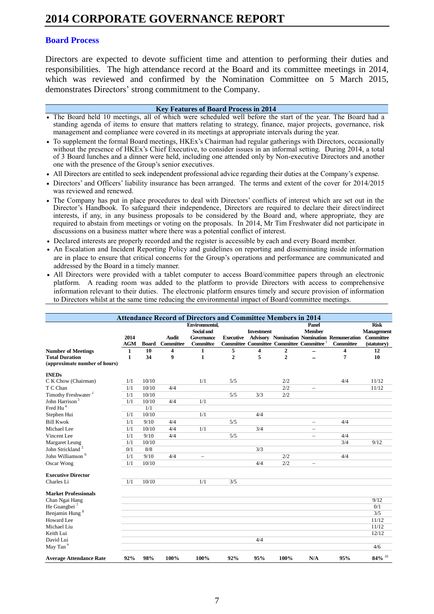#### **Board Process**

Directors are expected to devote sufficient time and attention to performing their duties and responsibilities. The high attendance record at the Board and its committee meetings in 2014, which was reviewed and confirmed by the Nomination Committee on 5 March 2015, demonstrates Directors' strong commitment to the Company.

#### **Key Features of Board Process in 2014**

- The Board held 10 meetings, all of which were scheduled well before the start of the year. The Board had a standing agenda of items to ensure that matters relating to strategy, finance, major projects, governance, risk management and compliance were covered in its meetings at appropriate intervals during the year.
- To supplement the formal Board meetings, HKEx's Chairman had regular gatherings with Directors, occasionally without the presence of HKEx's Chief Executive, to consider issues in an informal setting. During 2014, a total of 3 Board lunches and a dinner were held, including one attended only by Non-executive Directors and another one with the presence of the Group's senior executives.
- All Directors are entitled to seek independent professional advice regarding their duties at the Company's expense.
- Directors' and Officers' liability insurance has been arranged. The terms and extent of the cover for 2014/2015 was reviewed and renewed.
- The Company has put in place procedures to deal with Directors' conflicts of interest which are set out in the Director's Handbook. To safeguard their independence, Directors are required to declare their direct/indirect interests, if any, in any business proposals to be considered by the Board and, where appropriate, they are required to abstain from meetings or voting on the proposals. In 2014, Mr Tim Freshwater did not participate in discussions on a business matter where there was a potential conflict of interest.
- Declared interests are properly recorded and the register is accessible by each and every Board member.
- An Escalation and Incident Reporting Policy and guidelines on reporting and disseminating inside information are in place to ensure that critical concerns for the Group's operations and performance are communicated and addressed by the Board in a timely manner.
- All Directors were provided with a tablet computer to access Board/committee papers through an electronic platform. A reading room was added to the platform to provide Directors with access to comprehensive information relevant to their duties. The electronic platform ensures timely and secure provision of information to Directors whilst at the same time reducing the environmental impact of Board/committee meetings.

|                                                        |                    |              |                           | <b>Attendance Record of Directors and Committee Members in 2014</b>   |                  |                   |                |                                                                                |                                                                 |                                                              |
|--------------------------------------------------------|--------------------|--------------|---------------------------|-----------------------------------------------------------------------|------------------|-------------------|----------------|--------------------------------------------------------------------------------|-----------------------------------------------------------------|--------------------------------------------------------------|
|                                                        | 2014<br><b>AGM</b> | <b>Board</b> | <b>Audit</b><br>Committee | <b>Environmental.</b><br>Social and<br>Governance<br><b>Committee</b> | <b>Executive</b> | <b>Investment</b> |                | Panel<br><b>Member</b><br>Committee Committee Committee Committee <sup>1</sup> | <b>Advisory Nomination Nomination Remuneration</b><br>Committee | <b>Risk</b><br><b>Management</b><br>Committee<br>(statutory) |
| <b>Number of Meetings</b>                              | $\mathbf{1}$       | 10           | 4                         | 1                                                                     | 5                | 4                 | 2              |                                                                                | 4                                                               | 12                                                           |
| <b>Total Duration</b><br>(approximate number of hours) | $\mathbf{1}$       | 34           | 9                         | $\mathbf{1}$                                                          | $\overline{2}$   | 5                 | $\overline{2}$ |                                                                                | $\overline{7}$                                                  | 10                                                           |
| <b>INEDs</b>                                           |                    |              |                           |                                                                       |                  |                   |                |                                                                                |                                                                 |                                                              |
| C K Chow (Chairman)                                    | 1/1                | 10/10        |                           | 1/1                                                                   | 5/5              |                   | 2/2            |                                                                                | 4/4                                                             | 11/12                                                        |
| T C Chan                                               | 1/1                | 10/10        | 4/4                       |                                                                       |                  |                   | 2/2            |                                                                                |                                                                 | 11/12                                                        |
| Timothy Freshwater <sup>2</sup>                        | 1/1                | 10/10        |                           |                                                                       | 5/5              | 3/3               | 2/2            |                                                                                |                                                                 |                                                              |
| John Harrison <sup>3</sup>                             | 1/1                | 10/10        | 4/4                       | 1/1                                                                   |                  |                   |                |                                                                                |                                                                 |                                                              |
| Fred Hu <sup>4</sup>                                   |                    | 1/1          |                           |                                                                       |                  |                   |                |                                                                                |                                                                 |                                                              |
| Stephen Hui                                            | 1/1                | 10/10        |                           | 1/1                                                                   |                  | 4/4               |                |                                                                                |                                                                 |                                                              |
| <b>Bill Kwok</b>                                       | 1/1                | 9/10         | 4/4                       |                                                                       | 5/5              |                   |                |                                                                                | 4/4                                                             |                                                              |
| Michael Lee                                            | 1/1                | 10/10        | 4/4                       | 1/1                                                                   |                  | 3/4               |                | $\qquad \qquad -$                                                              |                                                                 |                                                              |
| Vincent Lee                                            | 1/1                | 9/10         | 4/4                       |                                                                       | 5/5              |                   |                | $\overline{\phantom{0}}$                                                       | 4/4                                                             |                                                              |
| Margaret Leung                                         | 1/1                | 10/10        |                           |                                                                       |                  |                   |                |                                                                                | 3/4                                                             | 9/12                                                         |
| John Strickland <sup>5</sup>                           | 0/1                | 8/8          |                           |                                                                       |                  | 3/3               |                |                                                                                |                                                                 |                                                              |
| John Williamson <sup>6</sup>                           | 1/1                | 9/10         | 4/4                       | $\overline{\phantom{0}}$                                              |                  |                   | 2/2            |                                                                                | 4/4                                                             |                                                              |
| Oscar Wong                                             | 1/1                | 10/10        |                           |                                                                       |                  | 4/4               | 2/2            |                                                                                |                                                                 |                                                              |
| <b>Executive Director</b>                              |                    |              |                           |                                                                       |                  |                   |                |                                                                                |                                                                 |                                                              |
| Charles Li                                             | 1/1                | 10/10        |                           | 1/1                                                                   | 3/5              |                   |                |                                                                                |                                                                 |                                                              |
| <b>Market Professionals</b>                            |                    |              |                           |                                                                       |                  |                   |                |                                                                                |                                                                 |                                                              |
| Chan Ngai Hang                                         |                    |              |                           |                                                                       |                  |                   |                |                                                                                |                                                                 | 9/12                                                         |
| He Guangbei <sup>7</sup>                               |                    |              |                           |                                                                       |                  |                   |                |                                                                                |                                                                 | 0/1                                                          |
| Benjamin Hung <sup>8</sup>                             |                    |              |                           |                                                                       |                  |                   |                |                                                                                |                                                                 | 3/5                                                          |
| <b>Howard</b> Lee                                      |                    |              |                           |                                                                       |                  |                   |                |                                                                                |                                                                 | 11/12                                                        |
| Michael Liu                                            |                    |              |                           |                                                                       |                  |                   |                |                                                                                |                                                                 | 11/12                                                        |
| Keith Lui                                              |                    |              |                           |                                                                       |                  |                   |                |                                                                                |                                                                 | 12/12                                                        |
| David Lui                                              |                    |              |                           |                                                                       |                  | 4/4               |                |                                                                                |                                                                 |                                                              |
| May Tan <sup>9</sup>                                   |                    |              |                           |                                                                       |                  |                   |                |                                                                                |                                                                 | 4/6                                                          |
| <b>Average Attendance Rate</b>                         | 92%                | 98%          | 100%                      | 100%                                                                  | 92%              | 95%               | 100%           | N/A                                                                            | 95%                                                             | $84\%$ <sup>10</sup>                                         |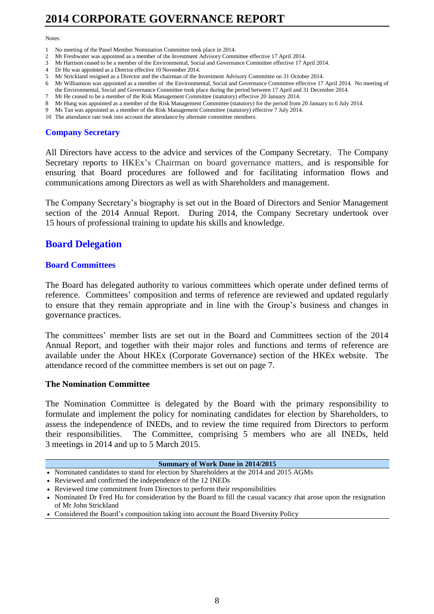#### Notes:

- 1 No meeting of the Panel Member Nomination Committee took place in 2014.
- 2 Mr Freshwater was appointed as a member of the Investment Advisory Committee effective 17 April 2014.
- 3 Mr Harrison ceased to be a member of the Environmental, Social and Governance Committee effective 17 April 2014.
- 4 Dr Hu was appointed as a Director effective 10 November 2014.
- 5 Mr Strickland resigned as a Director and the chairman of the Investment Advisory Committee on 31 October 2014.
- 6 Mr Williamson was appointed as a member of the Environmental, Social and Governance Committee effective 17 April 2014. No meeting of the Environmental, Social and Governance Committee took place during the period between 17 April and 31 December 2014.
- 7 Mr He ceased to be a member of the Risk Management Committee (statutory) effective 20 January 2014.
- 8 Mr Hung was appointed as a member of the Risk Management Committee (statutory) for the period from 20 January to 6 July 2014.
- 9 Ms Tan was appointed as a member of the Risk Management Committee (statutory) effective 7 July 2014.
- 10 The attendance rate took into account the attendance by alternate committee members.

### **Company Secretary**

All Directors have access to the advice and services of the Company Secretary. The Company Secretary reports to HKEx's Chairman on board governance matters, and is responsible for ensuring that Board procedures are followed and for facilitating information flows and communications among Directors as well as with Shareholders and management.

The Company Secretary's biography is set out in the Board of Directors and Senior Management section of the 2014 Annual Report. During 2014, the Company Secretary undertook over 15 hours of professional training to update his skills and knowledge.

## **Board Delegation**

### **Board Committees**

The Board has delegated authority to various committees which operate under defined terms of reference. Committees' composition and terms of reference are reviewed and updated regularly to ensure that they remain appropriate and in line with the Group's business and changes in governance practices.

The committees' member lists are set out in the Board and Committees section of the 2014 Annual Report, and together with their major roles and functions and terms of reference are available under the About HKEx (Corporate Governance) section of the HKEx website. The attendance record of the committee members is set out on page 7.

### **The Nomination Committee**

The Nomination Committee is delegated by the Board with the primary responsibility to formulate and implement the policy for nominating candidates for election by Shareholders, to assess the independence of INEDs, and to review the time required from Directors to perform their responsibilities. The Committee, comprising 5 members who are all INEDs, held 3 meetings in 2014 and up to 5 March 2015.

| Summary of Work Done in 2014/2015 |
|-----------------------------------|
|-----------------------------------|

- Nominated candidates to stand for election by Shareholders at the 2014 and 2015 AGMs
- Reviewed and confirmed the independence of the 12 INEDs
- Reviewed time commitment from Directors to perform their responsibilities

 Nominated Dr Fred Hu for consideration by the Board to fill the casual vacancy that arose upon the resignation of Mr John Strickland

Considered the Board's composition taking into account the Board Diversity Policy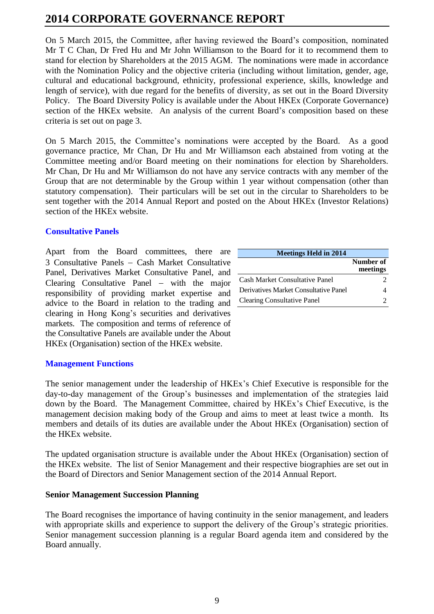On 5 March 2015, the Committee, after having reviewed the Board's composition, nominated Mr T C Chan, Dr Fred Hu and Mr John Williamson to the Board for it to recommend them to stand for election by Shareholders at the 2015 AGM. The nominations were made in accordance with the Nomination Policy and the objective criteria (including without limitation, gender, age, cultural and educational background, ethnicity, professional experience, skills, knowledge and length of service), with due regard for the benefits of diversity, as set out in the Board Diversity Policy. The Board Diversity Policy is available under the About HKEx (Corporate Governance) section of the HKEx website. An analysis of the current Board's composition based on these criteria is set out on page 3.

On 5 March 2015, the Committee's nominations were accepted by the Board. As a good governance practice, Mr Chan, Dr Hu and Mr Williamson each abstained from voting at the Committee meeting and/or Board meeting on their nominations for election by Shareholders. Mr Chan, Dr Hu and Mr Williamson do not have any service contracts with any member of the Group that are not determinable by the Group within 1 year without compensation (other than statutory compensation). Their particulars will be set out in the circular to Shareholders to be sent together with the 2014 Annual Report and posted on the About HKEx (Investor Relations) section of the HKEx website.

### **Consultative Panels**

Apart from the Board committees, there are 3 Consultative Panels - Cash Market Consultative Panel, Derivatives Market Consultative Panel, and Clearing Consultative Panel – with the major responsibility of providing market expertise and advice to the Board in relation to the trading and clearing in Hong Kong's securities and derivatives markets. The composition and terms of reference of the Consultative Panels are available under the About HKEx (Organisation) section of the HKEx website.

| <b>Meetings Held in 2014</b>          |                       |
|---------------------------------------|-----------------------|
|                                       | Number of<br>meetings |
| Cash Market Consultative Panel        |                       |
| Derivatives Market Consultative Panel |                       |
| <b>Clearing Consultative Panel</b>    |                       |

### **Management Functions**

The senior management under the leadership of HKEx's Chief Executive is responsible for the day-to-day management of the Group's businesses and implementation of the strategies laid down by the Board. The Management Committee, chaired by HKEx's Chief Executive, is the management decision making body of the Group and aims to meet at least twice a month. Its members and details of its duties are available under the About HKEx (Organisation) section of the HKEx website.

The updated organisation structure is available under the About HKEx (Organisation) section of the HKEx website. The list of Senior Management and their respective biographies are set out in the Board of Directors and Senior Management section of the 2014 Annual Report.

### **Senior Management Succession Planning**

The Board recognises the importance of having continuity in the senior management, and leaders with appropriate skills and experience to support the delivery of the Group's strategic priorities. Senior management succession planning is a regular Board agenda item and considered by the Board annually.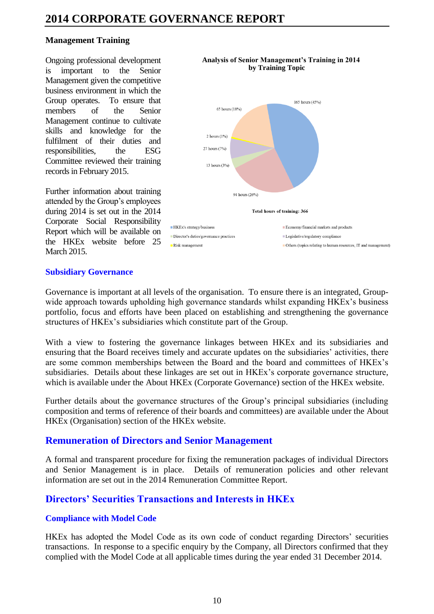### **Management Training**

Ongoing professional development is important to the Senior Management given the competitive business environment in which the Group operates. To ensure that members of the Senior Management continue to cultivate skills and knowledge for the fulfilment of their duties and responsibilities, the ESG Committee reviewed their training records in February 2015.

Further information about training attended by the Group's employees during 2014 is set out in the 2014 Corporate Social Responsibility Report which will be available on the HKEx website before 25 March 2015.



# **Analysis of Senior Management's Training in 2014**

### **Subsidiary Governance**

Governance is important at all levels of the organisation. To ensure there is an integrated, Groupwide approach towards upholding high governance standards whilst expanding HKEx's business portfolio, focus and efforts have been placed on establishing and strengthening the governance structures of HKEx's subsidiaries which constitute part of the Group.

With a view to fostering the governance linkages between HKEx and its subsidiaries and ensuring that the Board receives timely and accurate updates on the subsidiaries' activities, there are some common memberships between the Board and the board and committees of HKEx's subsidiaries. Details about these linkages are set out in HKEx's corporate governance structure, which is available under the About HKEx (Corporate Governance) section of the HKEx website.

Further details about the governance structures of the Group's principal subsidiaries (including composition and terms of reference of their boards and committees) are available under the About HKEx (Organisation) section of the HKEx website.

## **Remuneration of Directors and Senior Management**

A formal and transparent procedure for fixing the remuneration packages of individual Directors and Senior Management is in place. Details of remuneration policies and other relevant information are set out in the 2014 Remuneration Committee Report.

## **Directors' Securities Transactions and Interests in HKEx**

### **Compliance with Model Code**

HKEx has adopted the Model Code as its own code of conduct regarding Directors' securities transactions. In response to a specific enquiry by the Company, all Directors confirmed that they complied with the Model Code at all applicable times during the year ended 31 December 2014.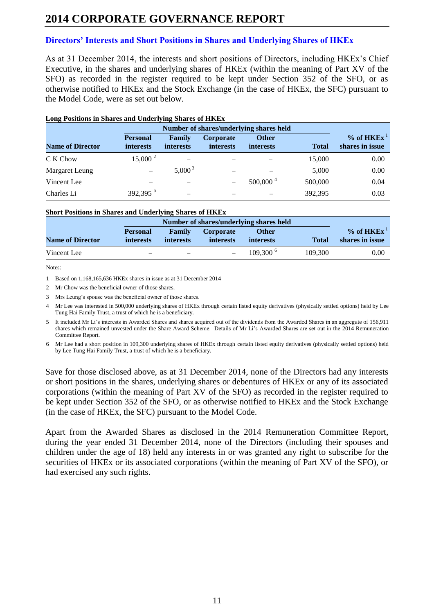## **Directors' Interests and Short Positions in Shares and Underlying Shares of HKEx**

As at 31 December 2014, the interests and short positions of Directors, including HKEx's Chief Executive, in the shares and underlying shares of HKEx (within the meaning of Part XV of the SFO) as recorded in the register required to be kept under Section 352 of the SFO, or as otherwise notified to HKEx and the Stock Exchange (in the case of HKEx, the SFC) pursuant to the Model Code, were as set out below.

| <b>Name of Director</b> | <b>Personal</b><br><i>interests</i> | Family<br><i>interests</i> | Corporate<br><b>interests</b> | <b>Other</b><br><i>interests</i> | <b>Total</b> | $%$ of HKEx <sup>1</sup><br>shares in issue |
|-------------------------|-------------------------------------|----------------------------|-------------------------------|----------------------------------|--------------|---------------------------------------------|
| C K Chow                | $15,000^2$                          |                            |                               |                                  | 15,000       | 0.00                                        |
| Margaret Leung          |                                     | $5,000^3$                  |                               |                                  | 5,000        | 0.00                                        |
| Vincent Lee             |                                     |                            |                               | $500,000^4$                      | 500,000      | 0.04                                        |
| Charles Li              | 392,395 $5$                         |                            |                               |                                  | 392,395      | 0.03                                        |

#### **Long Positions in Shares and Underlying Shares of HKEx**

#### **Short Positions in Shares and Underlying Shares of HKEx**

|                         |                                     | Number of shares/underlying shares held |                                      |                                  |              |                                             |  |
|-------------------------|-------------------------------------|-----------------------------------------|--------------------------------------|----------------------------------|--------------|---------------------------------------------|--|
| <b>Name of Director</b> | <b>Personal</b><br><i>interests</i> | Family<br><i>interests</i>              | <b>Corporate</b><br><i>interests</i> | <b>Other</b><br><i>interests</i> | <b>Total</b> | $%$ of HKEx <sup>1</sup><br>shares in issue |  |
|                         |                                     |                                         |                                      |                                  |              |                                             |  |
| Vincent Lee             |                                     |                                         |                                      | $109.300^{\text{6}}$             | 109.300      | 0.00                                        |  |

Notes:

1 Based on 1,168,165,636 HKEx shares in issue as at 31 December 2014

2 Mr Chow was the beneficial owner of those shares.

3 Mrs Leung's spouse was the beneficial owner of those shares.

4 Mr Lee was interested in 500,000 underlying shares of HKEx through certain listed equity derivatives (physically settled options) held by Lee Tung Hai Family Trust, a trust of which he is a beneficiary.

5 It included Mr Li's interests in Awarded Shares and shares acquired out of the dividends from the Awarded Shares in an aggregate of 156,911 shares which remained unvested under the Share Award Scheme. Details of Mr Li's Awarded Shares are set out in the 2014 Remuneration Committee Report.

6 Mr Lee had a short position in 109,300 underlying shares of HKEx through certain listed equity derivatives (physically settled options) held by Lee Tung Hai Family Trust, a trust of which he is a beneficiary.

Save for those disclosed above, as at 31 December 2014, none of the Directors had any interests or short positions in the shares, underlying shares or debentures of HKEx or any of its associated corporations (within the meaning of Part XV of the SFO) as recorded in the register required to be kept under Section 352 of the SFO, or as otherwise notified to HKEx and the Stock Exchange (in the case of HKEx, the SFC) pursuant to the Model Code.

Apart from the Awarded Shares as disclosed in the 2014 Remuneration Committee Report, during the year ended 31 December 2014, none of the Directors (including their spouses and children under the age of 18) held any interests in or was granted any right to subscribe for the securities of HKEx or its associated corporations (within the meaning of Part XV of the SFO), or had exercised any such rights.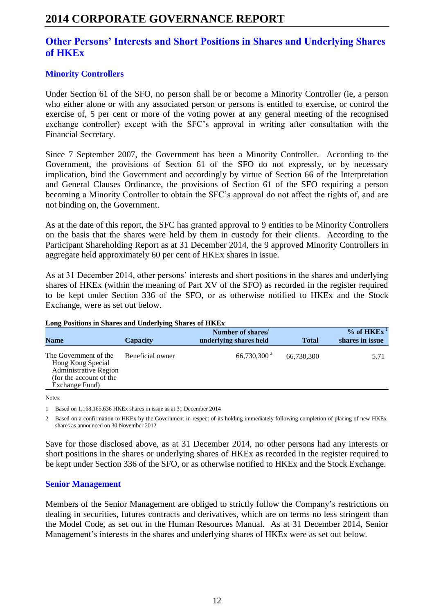## **Other Persons' Interests and Short Positions in Shares and Underlying Shares of HKEx**

## **Minority Controllers**

Under Section 61 of the SFO, no person shall be or become a Minority Controller (ie, a person who either alone or with any associated person or persons is entitled to exercise, or control the exercise of, 5 per cent or more of the voting power at any general meeting of the recognised exchange controller) except with the SFC's approval in writing after consultation with the Financial Secretary.

Since 7 September 2007, the Government has been a Minority Controller. According to the Government, the provisions of Section 61 of the SFO do not expressly, or by necessary implication, bind the Government and accordingly by virtue of Section 66 of the Interpretation and General Clauses Ordinance, the provisions of Section 61 of the SFO requiring a person becoming a Minority Controller to obtain the SFC's approval do not affect the rights of, and are not binding on, the Government.

As at the date of this report, the SFC has granted approval to 9 entities to be Minority Controllers on the basis that the shares were held by them in custody for their clients. According to the Participant Shareholding Report as at 31 December 2014, the 9 approved Minority Controllers in aggregate held approximately 60 per cent of HKEx shares in issue.

As at 31 December 2014, other persons' interests and short positions in the shares and underlying shares of HKEx (within the meaning of Part XV of the SFO) as recorded in the register required to be kept under Section 336 of the SFO, or as otherwise notified to HKEx and the Stock Exchange, were as set out below.

| <b>Name</b>                                                                                                             | Capacity         | Number of shares/<br>underlying shares held | <b>Total</b> | $%$ of HKEx <sup>1</sup><br>shares in issue |
|-------------------------------------------------------------------------------------------------------------------------|------------------|---------------------------------------------|--------------|---------------------------------------------|
|                                                                                                                         |                  |                                             |              |                                             |
| The Government of the<br>Hong Kong Special<br><b>Administrative Region</b><br>(for the account of the<br>Exchange Fund) | Beneficial owner | $66,730,300^2$                              | 66,730,300   | 5.71                                        |

#### **Long Positions in Shares and Underlying Shares of HKEx**

Notes:

1 Based on 1,168,165,636 HKEx shares in issue as at 31 December 2014

2 Based on a confirmation to HKEx by the Government in respect of its holding immediately following completion of placing of new HKEx shares as announced on 30 November 2012

Save for those disclosed above, as at 31 December 2014, no other persons had any interests or short positions in the shares or underlying shares of HKEx as recorded in the register required to be kept under Section 336 of the SFO, or as otherwise notified to HKEx and the Stock Exchange.

### **Senior Management**

Members of the Senior Management are obliged to strictly follow the Company's restrictions on dealing in securities, futures contracts and derivatives, which are on terms no less stringent than the Model Code, as set out in the Human Resources Manual. As at 31 December 2014, Senior Management's interests in the shares and underlying shares of HKEx were as set out below.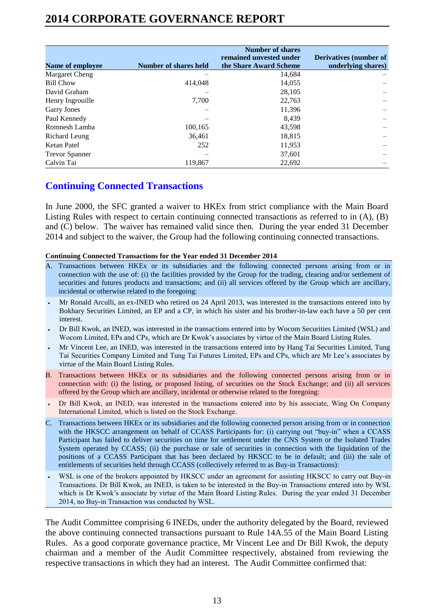| Name of employee      | Number of shares held | <b>Number of shares</b><br>remained unvested under<br>the Share Award Scheme | <b>Derivatives (number of</b><br>underlying shares) |
|-----------------------|-----------------------|------------------------------------------------------------------------------|-----------------------------------------------------|
| Margaret Cheng        |                       | 14,684                                                                       |                                                     |
| <b>Bill Chow</b>      | 414,048               | 14,055                                                                       |                                                     |
| David Graham          |                       | 28.105                                                                       |                                                     |
| Henry Ingrouille      | 7.700                 | 22,763                                                                       |                                                     |
| <b>Garry Jones</b>    |                       | 11,396                                                                       |                                                     |
| Paul Kennedy          |                       | 8.439                                                                        |                                                     |
| Romnesh Lamba         | 100,165               | 43,598                                                                       |                                                     |
| Richard Leung         | 36.461                | 18,815                                                                       |                                                     |
| Ketan Patel           | 252                   | 11,953                                                                       |                                                     |
| <b>Trevor Spanner</b> |                       | 37,601                                                                       |                                                     |
| Calvin Tai            | 119.867               | 22,692                                                                       |                                                     |

## **Continuing Connected Transactions**

In June 2000, the SFC granted a waiver to HKEx from strict compliance with the Main Board Listing Rules with respect to certain continuing connected transactions as referred to in (A), (B) and (C) below. The waiver has remained valid since then. During the year ended 31 December 2014 and subject to the waiver, the Group had the following continuing connected transactions.

#### **Continuing Connected Transactions for the Year ended 31 December 2014**

- A. Transactions between HKEx or its subsidiaries and the following connected persons arising from or in connection with the use of: (i) the facilities provided by the Group for the trading, clearing and/or settlement of securities and futures products and transactions; and (ii) all services offered by the Group which are ancillary, incidental or otherwise related to the foregoing:
- Mr Ronald Arculli, an ex-INED who retired on 24 April 2013, was interested in the transactions entered into by Bokhary Securities Limited, an EP and a CP, in which his sister and his brother-in-law each have a 50 per cent interest.
- Dr Bill Kwok, an INED, was interested in the transactions entered into by Wocom Securities Limited (WSL) and Wocom Limited, EPs and CPs, which are Dr Kwok's associates by virtue of the Main Board Listing Rules.
- Mr Vincent Lee, an INED, was interested in the transactions entered into by Hang Tai Securities Limited, Tung Tai Securities Company Limited and Tung Tai Futures Limited, EPs and CPs, which are Mr Lee's associates by virtue of the Main Board Listing Rules.
- B. Transactions between HKEx or its subsidiaries and the following connected persons arising from or in connection with: (i) the listing, or proposed listing, of securities on the Stock Exchange; and (ii) all services offered by the Group which are ancillary, incidental or otherwise related to the foregoing:
- Dr Bill Kwok, an INED, was interested in the transactions entered into by his associate, Wing On Company International Limited, which is listed on the Stock Exchange.
- C. Transactions between HKEx or its subsidiaries and the following connected person arising from or in connection with the HKSCC arrangement on behalf of CCASS Participants for: (i) carrying out "buy-in" when a CCASS Participant has failed to deliver securities on time for settlement under the CNS System or the Isolated Trades System operated by CCASS; (ii) the purchase or sale of securities in connection with the liquidation of the positions of a CCASS Participant that has been declared by HKSCC to be in default; and (iii) the sale of entitlements of securities held through CCASS (collectively referred to as Buy-in Transactions):
- WSL is one of the brokers appointed by HKSCC under an agreement for assisting HKSCC to carry out Buy-in Transactions. Dr Bill Kwok, an INED, is taken to be interested in the Buy-in Transactions entered into by WSL which is Dr Kwok's associate by virtue of the Main Board Listing Rules. During the year ended 31 December 2014, no Buy-in Transaction was conducted by WSL.

The Audit Committee comprising 6 INEDs, under the authority delegated by the Board, reviewed the above continuing connected transactions pursuant to Rule 14A.55 of the Main Board Listing Rules. As a good corporate governance practice, Mr Vincent Lee and Dr Bill Kwok, the deputy chairman and a member of the Audit Committee respectively, abstained from reviewing the respective transactions in which they had an interest. The Audit Committee confirmed that: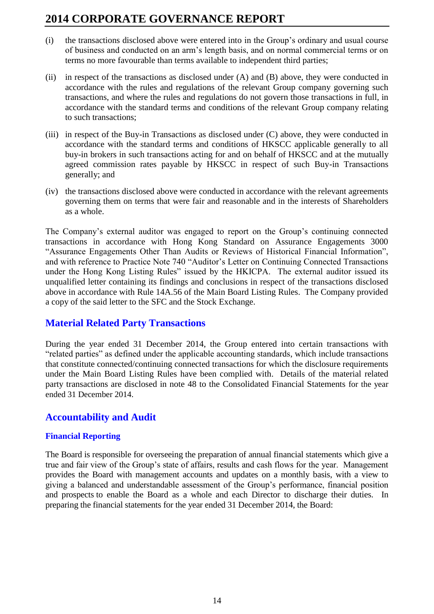- (i) the transactions disclosed above were entered into in the Group's ordinary and usual course of business and conducted on an arm's length basis, and on normal commercial terms or on terms no more favourable than terms available to independent third parties;
- (ii) in respect of the transactions as disclosed under (A) and (B) above, they were conducted in accordance with the rules and regulations of the relevant Group company governing such transactions, and where the rules and regulations do not govern those transactions in full, in accordance with the standard terms and conditions of the relevant Group company relating to such transactions;
- (iii) in respect of the Buy-in Transactions as disclosed under (C) above, they were conducted in accordance with the standard terms and conditions of HKSCC applicable generally to all buy-in brokers in such transactions acting for and on behalf of HKSCC and at the mutually agreed commission rates payable by HKSCC in respect of such Buy-in Transactions generally; and
- (iv) the transactions disclosed above were conducted in accordance with the relevant agreements governing them on terms that were fair and reasonable and in the interests of Shareholders as a whole.

The Company's external auditor was engaged to report on the Group's continuing connected transactions in accordance with Hong Kong Standard on Assurance Engagements 3000 "Assurance Engagements Other Than Audits or Reviews of Historical Financial Information", and with reference to Practice Note 740 "Auditor's Letter on Continuing Connected Transactions under the Hong Kong Listing Rules" issued by the HKICPA. The external auditor issued its unqualified letter containing its findings and conclusions in respect of the transactions disclosed above in accordance with Rule 14A.56 of the Main Board Listing Rules. The Company provided a copy of the said letter to the SFC and the Stock Exchange.

## **Material Related Party Transactions**

During the year ended 31 December 2014, the Group entered into certain transactions with "related parties" as defined under the applicable accounting standards, which include transactions that constitute connected/continuing connected transactions for which the disclosure requirements under the Main Board Listing Rules have been complied with. Details of the material related party transactions are disclosed in note 48 to the Consolidated Financial Statements for the year ended 31 December 2014.

## **Accountability and Audit**

### **Financial Reporting**

The Board is responsible for overseeing the preparation of annual financial statements which give a true and fair view of the Group's state of affairs, results and cash flows for the year. Management provides the Board with management accounts and updates on a monthly basis, with a view to giving a balanced and understandable assessment of the Group's performance, financial position and prospects to enable the Board as a whole and each Director to discharge their duties. In preparing the financial statements for the year ended 31 December 2014, the Board: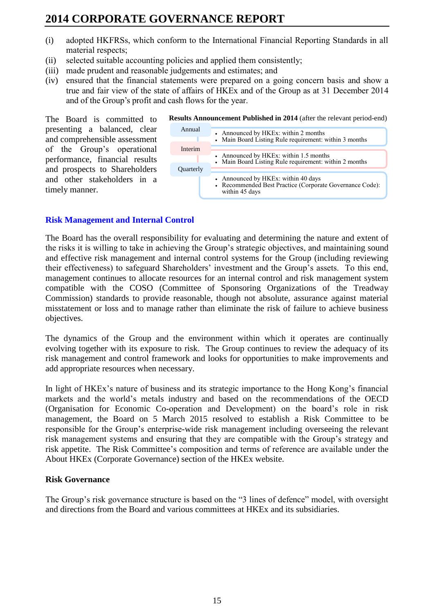- (i) adopted HKFRSs, which conform to the International Financial Reporting Standards in all material respects;
- (ii) selected suitable accounting policies and applied them consistently;
- (iii) made prudent and reasonable judgements and estimates; and
- (iv) ensured that the financial statements were prepared on a going concern basis and show a true and fair view of the state of affairs of HKEx and of the Group as at 31 December 2014 and of the Group's profit and cash flows for the year.

The Board is committed to presenting a balanced, clear and comprehensible assessment of the Group's operational performance, financial results and prospects to Shareholders and other stakeholders in a timely manner.

| Annual    | • Announced by HKEx: within 2 months                                                                              |
|-----------|-------------------------------------------------------------------------------------------------------------------|
|           | • Main Board Listing Rule requirement: within 3 months                                                            |
|           |                                                                                                                   |
| Interim   |                                                                                                                   |
|           | • Announced by HKEx: within 1.5 months                                                                            |
|           | • Main Board Listing Rule requirement: within 2 months                                                            |
|           |                                                                                                                   |
| Quarterly |                                                                                                                   |
|           | • Announced by HKEx: within 40 days<br>• Recommended Best Practice (Corporate Governance Code):<br>within 45 days |

#### **Results Announcement Published in 2014** (after the relevant period-end)

#### **Risk Management and Internal Control**

The Board has the overall responsibility for evaluating and determining the nature and extent of the risks it is willing to take in achieving the Group's strategic objectives, and maintaining sound and effective risk management and internal control systems for the Group (including reviewing their effectiveness) to safeguard Shareholders' investment and the Group's assets. To this end, management continues to allocate resources for an internal control and risk management system compatible with the COSO (Committee of Sponsoring Organizations of the Treadway Commission) standards to provide reasonable, though not absolute, assurance against material misstatement or loss and to manage rather than eliminate the risk of failure to achieve business objectives.

The dynamics of the Group and the environment within which it operates are continually evolving together with its exposure to risk. The Group continues to review the adequacy of its risk management and control framework and looks for opportunities to make improvements and add appropriate resources when necessary.

In light of HKEx's nature of business and its strategic importance to the Hong Kong's financial markets and the world's metals industry and based on the recommendations of the OECD (Organisation for Economic Co-operation and Development) on the board's role in risk management, the Board on 5 March 2015 resolved to establish a Risk Committee to be responsible for the Group's enterprise-wide risk management including overseeing the relevant risk management systems and ensuring that they are compatible with the Group's strategy and risk appetite. The Risk Committee's composition and terms of reference are available under the About HKEx (Corporate Governance) section of the HKEx website.

#### **Risk Governance**

The Group's risk governance structure is based on the "3 lines of defence" model, with oversight and directions from the Board and various committees at HKEx and its subsidiaries.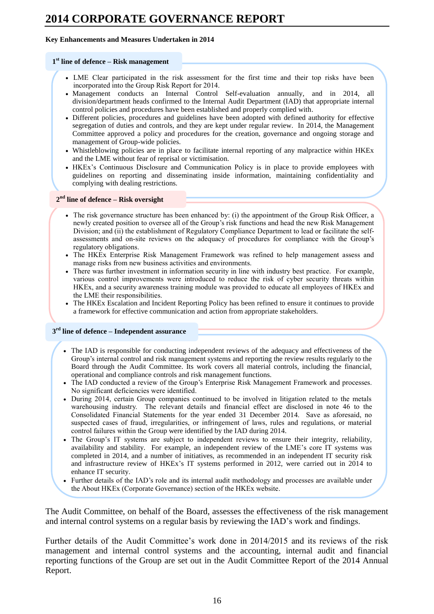#### **Key Enhancements and Measures Undertaken in 2014**

#### **1 st line of defence – Risk management**

- LME Clear participated in the risk assessment for the first time and their top risks have been incorporated into the Group Risk Report for 2014.
- Management conducts an Internal Control Self-evaluation annually, and in 2014, all division/department heads confirmed to the Internal Audit Department (IAD) that appropriate internal control policies and procedures have been established and properly complied with.
- Different policies, procedures and guidelines have been adopted with defined authority for effective segregation of duties and controls, and they are kept under regular review. In 2014, the Management Committee approved a policy and procedures for the creation, governance and ongoing storage and management of Group-wide policies.
- Whistleblowing policies are in place to facilitate internal reporting of any malpractice within HKEx and the LME without fear of reprisal or victimisation.
- HKEx's Continuous Disclosure and Communication Policy is in place to provide employees with guidelines on reporting and disseminating inside information, maintaining confidentiality and complying with dealing restrictions.

#### **2 nd line of defence – Risk oversight**

- The risk governance structure has been enhanced by: (i) the appointment of the Group Risk Officer, a newly created position to oversee all of the Group's risk functions and head the new Risk Management Division; and (ii) the establishment of Regulatory Compliance Department to lead or facilitate the selfassessments and on-site reviews on the adequacy of procedures for compliance with the Group's regulatory obligations.
- The HKEx Enterprise Risk Management Framework was refined to help management assess and manage risks from new business activities and environments.
- There was further investment in information security in line with industry best practice. For example, various control improvements were introduced to reduce the risk of cyber security threats within HKEx, and a security awareness training module was provided to educate all employees of HKEx and the LME their responsibilities.
- The HKEx Escalation and Incident Reporting Policy has been refined to ensure it continues to provide a framework for effective communication and action from appropriate stakeholders.

#### **3 rd line of defence – Independent assurance**

- The IAD is responsible for conducting independent reviews of the adequacy and effectiveness of the Group's internal control and risk management systems and reporting the review results regularly to the Board through the Audit Committee. Its work covers all material controls, including the financial, operational and compliance controls and risk management functions.
- The IAD conducted a review of the Group's Enterprise Risk Management Framework and processes. No significant deficiencies were identified.
- During 2014, certain Group companies continued to be involved in litigation related to the metals warehousing industry. The relevant details and financial effect are disclosed in note 46 to the Consolidated Financial Statements for the year ended 31 December 2014. Save as aforesaid, no suspected cases of fraud, irregularities, or infringement of laws, rules and regulations, or material control failures within the Group were identified by the IAD during 2014.
- The Group's IT systems are subject to independent reviews to ensure their integrity, reliability, availability and stability. For example, an independent review of the LME's core IT systems was completed in 2014, and a number of initiatives, as recommended in an independent IT security risk and infrastructure review of HKEx's IT systems performed in 2012, were carried out in 2014 to enhance IT security.
- Further details of the IAD's role and its internal audit methodology and processes are available under the About HKEx (Corporate Governance) section of the HKEx website.

The Audit Committee, on behalf of the Board, assesses the effectiveness of the risk management and internal control systems on a regular basis by reviewing the IAD's work and findings.

Further details of the Audit Committee's work done in 2014/2015 and its reviews of the risk management and internal control systems and the accounting, internal audit and financial reporting functions of the Group are set out in the Audit Committee Report of the 2014 Annual Report.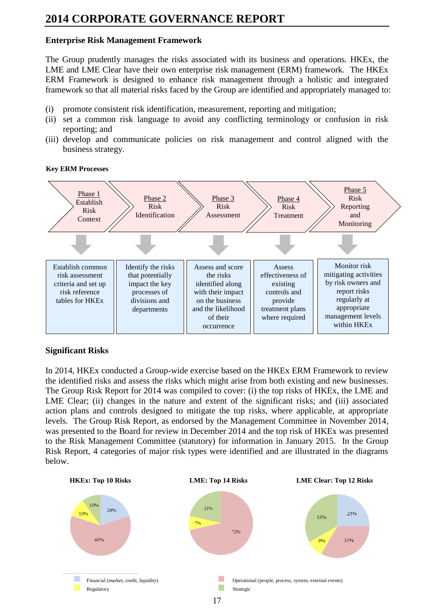### **Enterprise Risk Management Framework**

The Group prudently manages the risks associated with its business and operations. HKEx, the LME and LME Clear have their own enterprise risk management (ERM) framework. The HKEx ERM Framework is designed to enhance risk management through a holistic and integrated framework so that all material risks faced by the Group are identified and appropriately managed to:

- (i) promote consistent risk identification, measurement, reporting and mitigation;
- (ii) set a common risk language to avoid any conflicting terminology or confusion in risk reporting; and
- (iii) develop and communicate policies on risk management and control aligned with the business strategy.

#### **Key ERM Processes**



### **Significant Risks**

In 2014, HKEx conducted a Group-wide exercise based on the HKEx ERM Framework to review the identified risks and assess the risks which might arise from both existing and new businesses. The Group Risk Report for 2014 was compiled to cover: (i) the top risks of HKEx, the LME and LME Clear; (ii) changes in the nature and extent of the significant risks; and (iii) associated action plans and controls designed to mitigate the top risks, where applicable, at appropriate levels. The Group Risk Report, as endorsed by the Management Committee in November 2014, was presented to the Board for review in December 2014 and the top risk of HKEx was presented to the Risk Management Committee (statutory) for information in January 2015. In the Group Risk Report, 4 categories of major risk types were identified and are illustrated in the diagrams below.

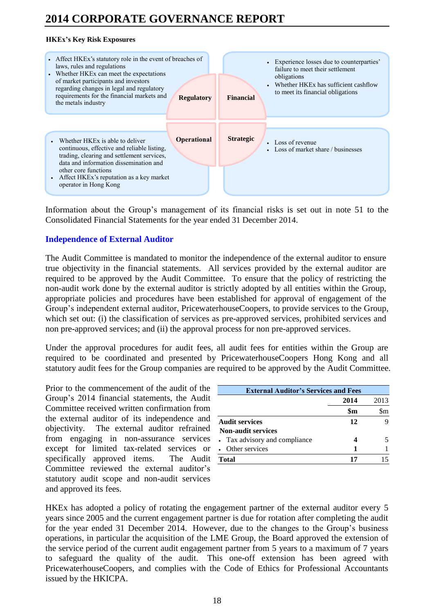### **HKEx's Key Risk Exposures**



Information about the Group's management of its financial risks is set out in note 51 to the Consolidated Financial Statements for the year ended 31 December 2014.

## **Independence of External Auditor**

The Audit Committee is mandated to monitor the independence of the external auditor to ensure true objectivity in the financial statements. All services provided by the external auditor are required to be approved by the Audit Committee. To ensure that the policy of restricting the non-audit work done by the external auditor is strictly adopted by all entities within the Group, appropriate policies and procedures have been established for approval of engagement of the Group's independent external auditor, PricewaterhouseCoopers, to provide services to the Group, which set out: (i) the classification of services as pre-approved services, prohibited services and non pre-approved services; and (ii) the approval process for non pre-approved services.

Under the approval procedures for audit fees, all audit fees for entities within the Group are required to be coordinated and presented by PricewaterhouseCoopers Hong Kong and all statutory audit fees for the Group companies are required to be approved by the Audit Committee.

Prior to the commencement of the audit of the Group's 2014 financial statements, the Audit Committee received written confirmation from the external auditor of its independence and objectivity. The external auditor refrained from engaging in non-assurance services except for limited tax-related services or specifically approved items. The Audit Committee reviewed the external auditor's statutory audit scope and non-audit services and approved its fees.

| <b>External Auditor's Services and Fees</b> |      |      |  |  |
|---------------------------------------------|------|------|--|--|
|                                             | 2014 | 2013 |  |  |
|                                             | \$m  |      |  |  |
| <b>Audit services</b>                       | 12   |      |  |  |
| <b>Non-audit services</b>                   |      |      |  |  |
| • Tax advisory and compliance               |      |      |  |  |
| Other services                              |      |      |  |  |
| Total                                       | 17   |      |  |  |

HKEx has adopted a policy of rotating the engagement partner of the external auditor every 5 years since 2005 and the current engagement partner is due for rotation after completing the audit for the year ended 31 December 2014. However, due to the changes to the Group's business operations, in particular the acquisition of the LME Group, the Board approved the extension of the service period of the current audit engagement partner from 5 years to a maximum of 7 years to safeguard the quality of the audit. This one-off extension has been agreed with PricewaterhouseCoopers, and complies with the Code of Ethics for Professional Accountants issued by the HKICPA.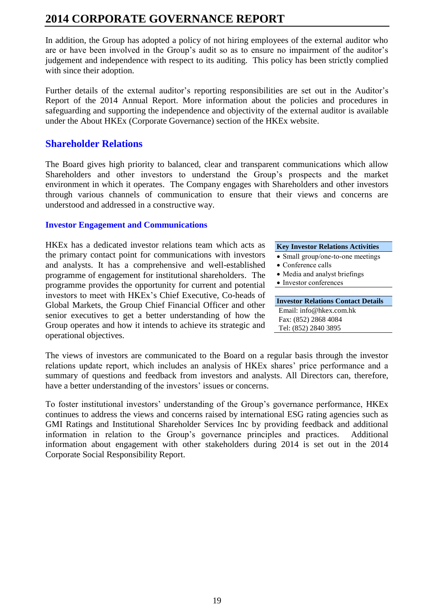In addition, the Group has adopted a policy of not hiring employees of the external auditor who are or have been involved in the Group's audit so as to ensure no impairment of the auditor's judgement and independence with respect to its auditing. This policy has been strictly complied with since their adoption.

Further details of the external auditor's reporting responsibilities are set out in the Auditor's Report of the 2014 Annual Report. More information about the policies and procedures in safeguarding and supporting the independence and objectivity of the external auditor is available under the About HKEx (Corporate Governance) section of the HKEx website.

## **Shareholder Relations**

The Board gives high priority to balanced, clear and transparent communications which allow Shareholders and other investors to understand the Group's prospects and the market environment in which it operates. The Company engages with Shareholders and other investors through various channels of communication to ensure that their views and concerns are understood and addressed in a constructive way.

### **Investor Engagement and Communications**

HKEx has a dedicated investor relations team which acts as the primary contact point for communications with investors and analysts. It has a comprehensive and well-established programme of engagement for institutional shareholders. The programme provides the opportunity for current and potential investors to meet with HKEx's Chief Executive, Co-heads of Global Markets, the Group Chief Financial Officer and other senior executives to get a better understanding of how the Group operates and how it intends to achieve its strategic and operational objectives.

#### **Key Investor Relations Activities**

- Small group/one-to-one meetings
- Conference calls
- Media and analyst briefings
- Investor conferences

#### **Investor Relations Contact Details** Email: info@hkex.com.hk Fax: (852) 2868 4084 Tel: (852) 2840 3895

The views of investors are communicated to the Board on a regular basis through the investor relations update report, which includes an analysis of HKEx shares' price performance and a summary of questions and feedback from investors and analysts. All Directors can, therefore, have a better understanding of the investors' issues or concerns.

To foster institutional investors' understanding of the Group's governance performance, HKEx continues to address the views and concerns raised by international ESG rating agencies such as GMI Ratings and Institutional Shareholder Services Inc by providing feedback and additional information in relation to the Group's governance principles and practices. Additional information about engagement with other stakeholders during 2014 is set out in the 2014 Corporate Social Responsibility Report.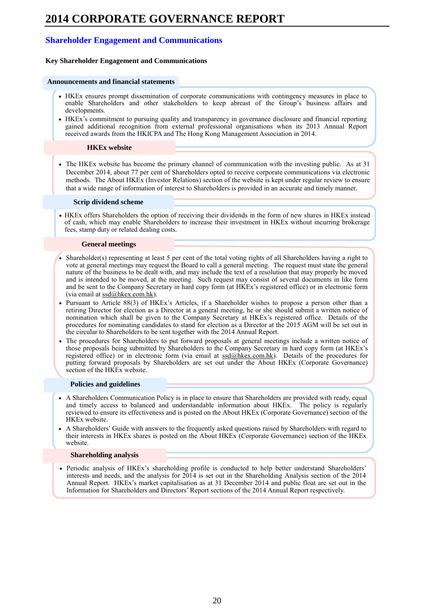### **Shareholder Engagement and Communications**

#### **Key Shareholder Engagement and Communications**

#### **Announcements and financial statements**

- HKEx ensures prompt dissemination of corporate communications with contingency measures in place to enable Shareholders and other stakeholders to keep abreast of the Group's business affairs and developments.
- HKEx's commitment to pursuing quality and transparency in governance disclosure and financial reporting gained additional recognition from external professional organisations when its 2013 Annual Report received awards from the HKICPA and The Hong Kong Management Association in 2014.

#### **HKEx website**

• The HKEx website has become the primary channel of communication with the investing public. As at 31 December 2014, about 77 per cent of Shareholders opted to receive corporate communications via electronic methods. The About HKEx (Investor Relations) section of the website is kept under regular review to ensure that a wide range of information of interest to Shareholders is provided in an accurate and timely manner.

#### **Scrip dividend scheme**

 HKEx offers Shareholders the option of receiving their dividends in the form of new shares in HKEx instead of cash, which may enable Shareholders to increase their investment in HKEx without incurring brokerage fees, stamp duty or related dealing costs.

#### **General meetings**

- Shareholder(s) representing at least 5 per cent of the total voting rights of all Shareholders having a right to vote at general meetings may request the Board to call a general meeting. The request must state the general nature of the business to be dealt with, and may include the text of a resolution that may properly be moved and is intended to be moved, at the meeting. Such request may consist of several documents in like form and be sent to the Company Secretary in hard copy form (at HKEx's registered office) or in electronic form (via email at  $ssd(\omega)$ hkex.com.hk).
- Pursuant to Article 88(3) of HKEx's Articles, if a Shareholder wishes to propose a person other than a retiring Director for election as a Director at a general meeting, he or she should submit a written notice of nomination which shall be given to the Company Secretary at HKEx's registered office. Details of the procedures for nominating candidates to stand for election as a Director at the 2015 AGM will be set out in the circular to Shareholders to be sent together with the 2014 Annual Report.
- The procedures for Shareholders to put forward proposals at general meetings include a written notice of those proposals being submitted by Shareholders to the Company Secretary in hard copy form (at HKEx's registered office) or in electronic form (via email at  $ssd@hkex.com.hk$ ). Details of the procedures for putting forward proposals by Shareholders are set out under the About HKEx (Corporate Governance) section of the HKEx website.

#### **Policies and guidelines**

- A Shareholders Communication Policy is in place to ensure that Shareholders are provided with ready, equal and timely access to balanced and understandable information about HKEx. The policy is regularly reviewed to ensure its effectiveness and is posted on the About HKEx (Corporate Governance) section of the HKEx website.
- A Shareholders' Guide with answers to the frequently asked questions raised by Shareholders with regard to their interests in HKEx shares is posted on the About HKEx (Corporate Governance) section of the HKEx website.

#### **Shareholding analysis**

 Periodic analysis of HKEx's shareholding profile is conducted to help better understand Shareholders' interests and needs, and the analysis for 2014 is set out in the Shareholding Analysis section of the 2014 Annual Report. HKEx's market capitalisation as at 31 December 2014 and public float are set out in the Information for Shareholders and Directors' Report sections of the 2014 Annual Report respectively.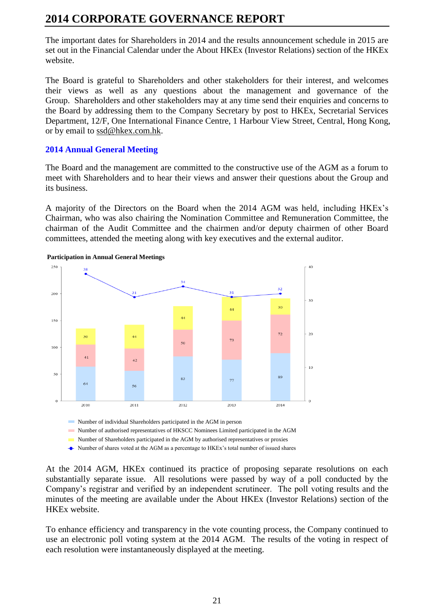The important dates for Shareholders in 2014 and the results announcement schedule in 2015 are set out in the Financial Calendar under the About HKEx (Investor Relations) section of the HKEx website.

The Board is grateful to Shareholders and other stakeholders for their interest, and welcomes their views as well as any questions about the management and governance of the Group. Shareholders and other stakeholders may at any time send their enquiries and concerns to the Board by addressing them to the Company Secretary by post to HKEx, Secretarial Services Department, 12/F, One International Finance Centre, 1 Harbour View Street, Central, Hong Kong, or by email to [ssd@hkex.com.hk.](mailto:ssd@hkex.com.hk)

### **2014 Annual General Meeting**

The Board and the management are committed to the constructive use of the AGM as a forum to meet with Shareholders and to hear their views and answer their questions about the Group and its business.

A majority of the Directors on the Board when the 2014 AGM was held, including HKEx's Chairman, who was also chairing the Nomination Committee and Remuneration Committee, the chairman of the Audit Committee and the chairmen and/or deputy chairmen of other Board committees, attended the meeting along with key executives and the external auditor.





Number of individual Shareholders participated in the AGM in person

Number of authorised representatives of HKSCC Nominees Limited participated in the AGM

Number of Shareholders participated in the AGM by authorised representatives or proxies

Number of shares voted at the AGM as a percentage to HKEx's total number of issued shares

At the 2014 AGM, HKEx continued its practice of proposing separate resolutions on each substantially separate issue. All resolutions were passed by way of a poll conducted by the Company's registrar and verified by an independent scrutineer. The poll voting results and the minutes of the meeting are available under the About HKEx (Investor Relations) section of the HKEx website.

To enhance efficiency and transparency in the vote counting process, the Company continued to use an electronic poll voting system at the 2014 AGM. The results of the voting in respect of each resolution were instantaneously displayed at the meeting.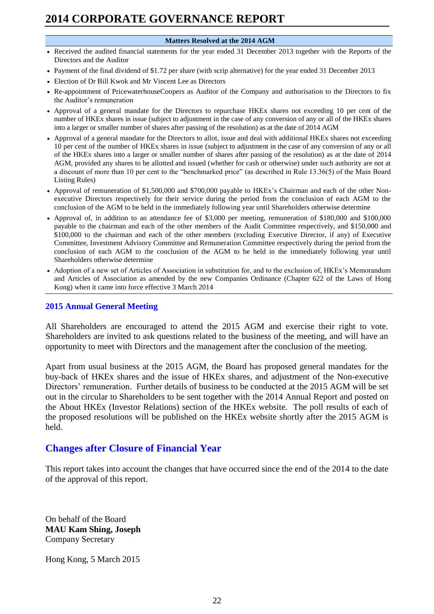#### **Matters Resolved at the 2014 AGM**

- Received the audited financial statements for the year ended 31 December 2013 together with the Reports of the Directors and the Auditor
- Payment of the final dividend of \$1.72 per share (with scrip alternative) for the year ended 31 December 2013
- Election of Dr Bill Kwok and Mr Vincent Lee as Directors
- Re-appointment of PricewaterhouseCoopers as Auditor of the Company and authorisation to the Directors to fix the Auditor's remuneration
- Approval of a general mandate for the Directors to repurchase HKEx shares not exceeding 10 per cent of the number of HKEx shares in issue (subject to adjustment in the case of any conversion of any or all of the HKEx shares into a larger or smaller number of shares after passing of the resolution) as at the date of 2014 AGM
- Approval of a general mandate for the Directors to allot, issue and deal with additional HKEx shares not exceeding 10 per cent of the number of HKEx shares in issue (subject to adjustment in the case of any conversion of any or all of the HKEx shares into a larger or smaller number of shares after passing of the resolution) as at the date of 2014 AGM, provided any shares to be allotted and issued (whether for cash or otherwise) under such authority are not at a discount of more than 10 per cent to the "benchmarked price" (as described in Rule 13.36(5) of the Main Board Listing Rules)
- Approval of remuneration of \$1,500,000 and \$700,000 payable to HKEx's Chairman and each of the other Nonexecutive Directors respectively for their service during the period from the conclusion of each AGM to the conclusion of the AGM to be held in the immediately following year until Shareholders otherwise determine
- Approval of, in addition to an attendance fee of \$3,000 per meeting, remuneration of \$180,000 and \$100,000 payable to the chairman and each of the other members of the Audit Committee respectively, and \$150,000 and \$100,000 to the chairman and each of the other members (excluding Executive Director, if any) of Executive Committee, Investment Advisory Committee and Remuneration Committee respectively during the period from the conclusion of each AGM to the conclusion of the AGM to be held in the immediately following year until Shareholders otherwise determine
- Adoption of a new set of Articles of Association in substitution for, and to the exclusion of, HKEx's Memorandum and Articles of Association as amended by the new Companies Ordinance (Chapter 622 of the Laws of Hong Kong) when it came into force effective 3 March 2014

### **2015 Annual General Meeting**

All Shareholders are encouraged to attend the 2015 AGM and exercise their right to vote. Shareholders are invited to ask questions related to the business of the meeting, and will have an opportunity to meet with Directors and the management after the conclusion of the meeting.

Apart from usual business at the 2015 AGM, the Board has proposed general mandates for the buy-back of HKEx shares and the issue of HKEx shares, and adjustment of the Non-executive Directors' remuneration. Further details of business to be conducted at the 2015 AGM will be set out in the circular to Shareholders to be sent together with the 2014 Annual Report and posted on the About HKEx (Investor Relations) section of the HKEx website. The poll results of each of the proposed resolutions will be published on the HKEx website shortly after the 2015 AGM is held.

## **Changes after Closure of Financial Year**

This report takes into account the changes that have occurred since the end of the 2014 to the date of the approval of this report.

On behalf of the Board **MAU Kam Shing, Joseph** Company Secretary

Hong Kong, 5 March 2015